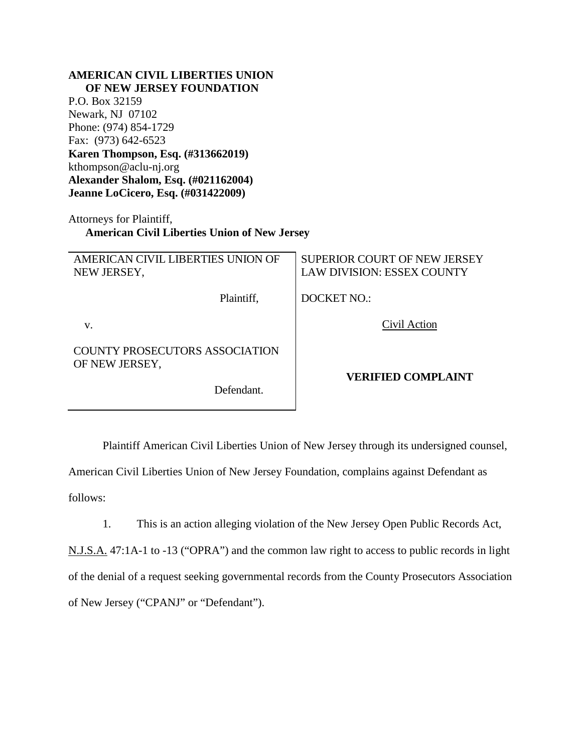| <b>AMERICAN CIVIL LIBERTIES UNION</b><br>OF NEW JERSEY FOUNDATION                                                    |                                     |
|----------------------------------------------------------------------------------------------------------------------|-------------------------------------|
| P.O. Box 32159                                                                                                       |                                     |
| Newark, NJ 07102                                                                                                     |                                     |
| Phone: (974) 854-1729                                                                                                |                                     |
| Fax: (973) 642-6523                                                                                                  |                                     |
| Karen Thompson, Esq. (#313662019)                                                                                    |                                     |
| kthompson@aclu-nj.org                                                                                                |                                     |
|                                                                                                                      |                                     |
| Alexander Shalom, Esq. (#021162004)                                                                                  |                                     |
| Jeanne LoCicero, Esq. (#031422009)                                                                                   |                                     |
| Attorneys for Plaintiff,<br><b>American Civil Liberties Union of New Jersey</b><br>AMERICAN CIVIL LIBERTIES UNION OF | <b>SUPERIOR COURT OF NEW JERSEY</b> |
| NEW JERSEY,                                                                                                          | <b>LAW DIVISION: ESSEX COUNTY</b>   |
| Plaintiff,                                                                                                           | <b>DOCKET NO.:</b>                  |
| V.                                                                                                                   | Civil Action                        |
| COUNTY PROSECUTORS ASSOCIATION<br>OF NEW JERSEY,                                                                     |                                     |
| Defendant.                                                                                                           | <b>VERIFIED COMPLAINT</b>           |

Plaintiff American Civil Liberties Union of New Jersey through its undersigned counsel,

American Civil Liberties Union of New Jersey Foundation, complains against Defendant as follows:

1. This is an action alleging violation of the New Jersey Open Public Records Act,

N.J.S.A. 47:1A-1 to -13 ("OPRA") and the common law right to access to public records in light of the denial of a request seeking governmental records from the County Prosecutors Association of New Jersey ("CPANJ" or "Defendant").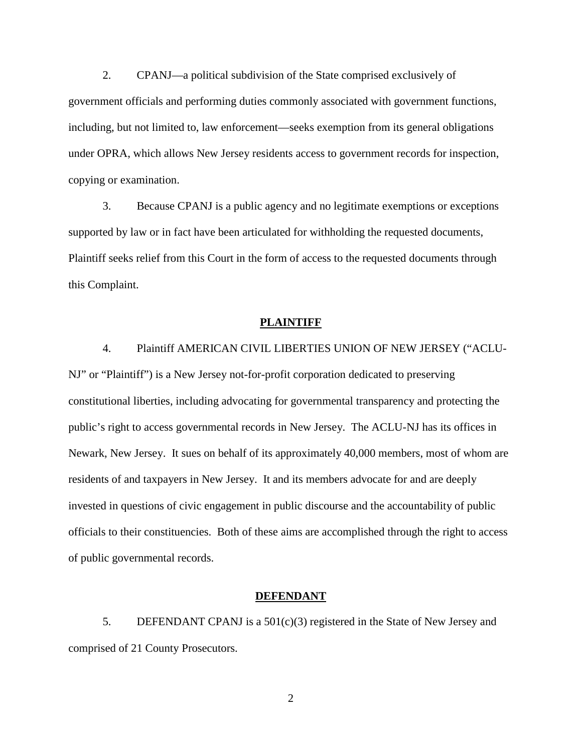2. CPANJ—a political subdivision of the State comprised exclusively of government officials and performing duties commonly associated with government functions, including, but not limited to, law enforcement—seeks exemption from its general obligations under OPRA, which allows New Jersey residents access to government records for inspection, copying or examination.

3. Because CPANJ is a public agency and no legitimate exemptions or exceptions supported by law or in fact have been articulated for withholding the requested documents, Plaintiff seeks relief from this Court in the form of access to the requested documents through this Complaint.

#### **PLAINTIFF**

4. Plaintiff AMERICAN CIVIL LIBERTIES UNION OF NEW JERSEY ("ACLU-NJ" or "Plaintiff") is a New Jersey not-for-profit corporation dedicated to preserving constitutional liberties, including advocating for governmental transparency and protecting the public's right to access governmental records in New Jersey. The ACLU-NJ has its offices in Newark, New Jersey. It sues on behalf of its approximately 40,000 members, most of whom are residents of and taxpayers in New Jersey. It and its members advocate for and are deeply invested in questions of civic engagement in public discourse and the accountability of public officials to their constituencies. Both of these aims are accomplished through the right to access of public governmental records.

#### **DEFENDANT**

5. DEFENDANT CPANJ is a 501(c)(3) registered in the State of New Jersey and comprised of 21 County Prosecutors.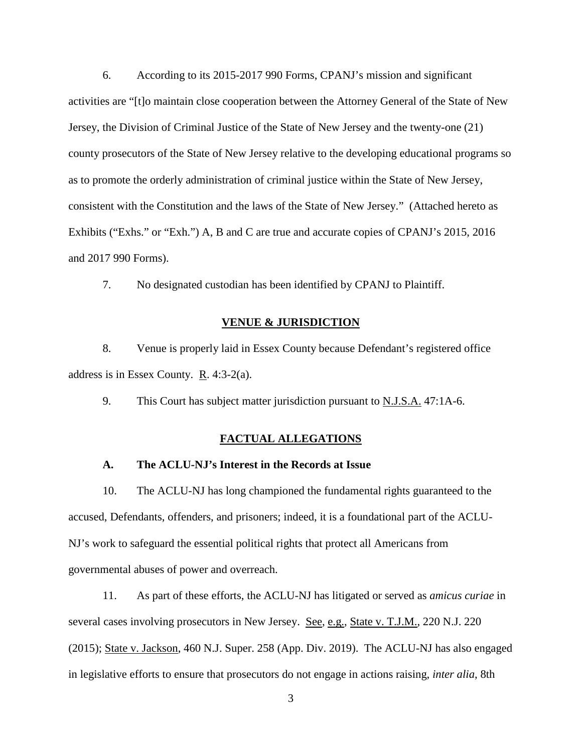6. According to its 2015-2017 990 Forms, CPANJ's mission and significant activities are "[t]o maintain close cooperation between the Attorney General of the State of New Jersey, the Division of Criminal Justice of the State of New Jersey and the twenty-one (21) county prosecutors of the State of New Jersey relative to the developing educational programs so as to promote the orderly administration of criminal justice within the State of New Jersey, consistent with the Constitution and the laws of the State of New Jersey." (Attached hereto as Exhibits ("Exhs." or "Exh.") A, B and C are true and accurate copies of CPANJ's 2015, 2016 and 2017 990 Forms).

7. No designated custodian has been identified by CPANJ to Plaintiff.

# **VENUE & JURISDICTION**

8. Venue is properly laid in Essex County because Defendant's registered office address is in Essex County. R. 4:3-2(a).

9. This Court has subject matter jurisdiction pursuant to N.J.S.A. 47:1A-6.

### **FACTUAL ALLEGATIONS**

# **A. The ACLU-NJ's Interest in the Records at Issue**

10. The ACLU-NJ has long championed the fundamental rights guaranteed to the accused, Defendants, offenders, and prisoners; indeed, it is a foundational part of the ACLU-NJ's work to safeguard the essential political rights that protect all Americans from governmental abuses of power and overreach.

11. As part of these efforts, the ACLU-NJ has litigated or served as *amicus curiae* in several cases involving prosecutors in New Jersey. See, e.g., State v. T.J.M., 220 N.J. 220 (2015); State v. Jackson, 460 N.J. Super. 258 (App. Div. 2019). The ACLU-NJ has also engaged in legislative efforts to ensure that prosecutors do not engage in actions raising, *inter alia*, 8th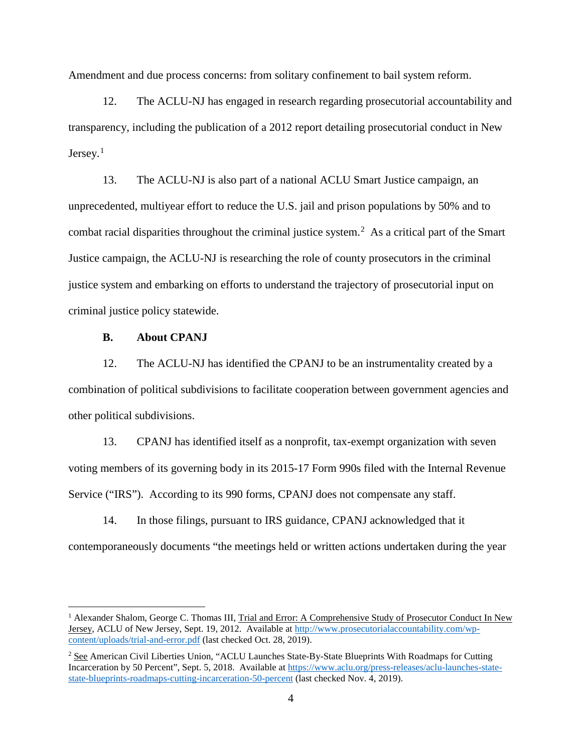Amendment and due process concerns: from solitary confinement to bail system reform.

12. The ACLU-NJ has engaged in research regarding prosecutorial accountability and transparency, including the publication of a 2012 report detailing prosecutorial conduct in New Jersey.<sup>[1](#page-3-0)</sup>

13. The ACLU-NJ is also part of a national ACLU Smart Justice campaign, an unprecedented, multiyear effort to reduce the U.S. jail and prison populations by 50% and to combat racial disparities throughout the criminal justice system.<sup>[2](#page-3-1)</sup> As a critical part of the Smart Justice campaign, the ACLU-NJ is researching the role of county prosecutors in the criminal justice system and embarking on efforts to understand the trajectory of prosecutorial input on criminal justice policy statewide.

### **B. About CPANJ**

12. The ACLU-NJ has identified the CPANJ to be an instrumentality created by a combination of political subdivisions to facilitate cooperation between government agencies and other political subdivisions.

13. CPANJ has identified itself as a nonprofit, tax-exempt organization with seven voting members of its governing body in its 2015-17 Form 990s filed with the Internal Revenue Service ("IRS"). According to its 990 forms, CPANJ does not compensate any staff.

14. In those filings, pursuant to IRS guidance, CPANJ acknowledged that it contemporaneously documents "the meetings held or written actions undertaken during the year

<span id="page-3-0"></span><sup>&</sup>lt;sup>1</sup> Alexander Shalom, George C. Thomas III, Trial and Error: A Comprehensive Study of Prosecutor Conduct In New Jersey, ACLU of New Jersey, Sept. 19, 2012. Available at [http://www.prosecutorialaccountability.com/wp](http://www.prosecutorialaccountability.com/wp-content/uploads/trial-and-error.pdf)[content/uploads/trial-and-error.pdf](http://www.prosecutorialaccountability.com/wp-content/uploads/trial-and-error.pdf) (last checked Oct. 28, 2019).

<span id="page-3-1"></span><sup>&</sup>lt;sup>2</sup> See American Civil Liberties Union, "ACLU Launches State-By-State Blueprints With Roadmaps for Cutting Incarceration by 50 Percent", Sept. 5, 2018. Available at [https://www.aclu.org/press-releases/aclu-launches-state](https://www.aclu.org/press-releases/aclu-launches-state-state-blueprints-roadmaps-cutting-incarceration-50-percent)[state-blueprints-roadmaps-cutting-incarceration-50-percent](https://www.aclu.org/press-releases/aclu-launches-state-state-blueprints-roadmaps-cutting-incarceration-50-percent) (last checked Nov. 4, 2019).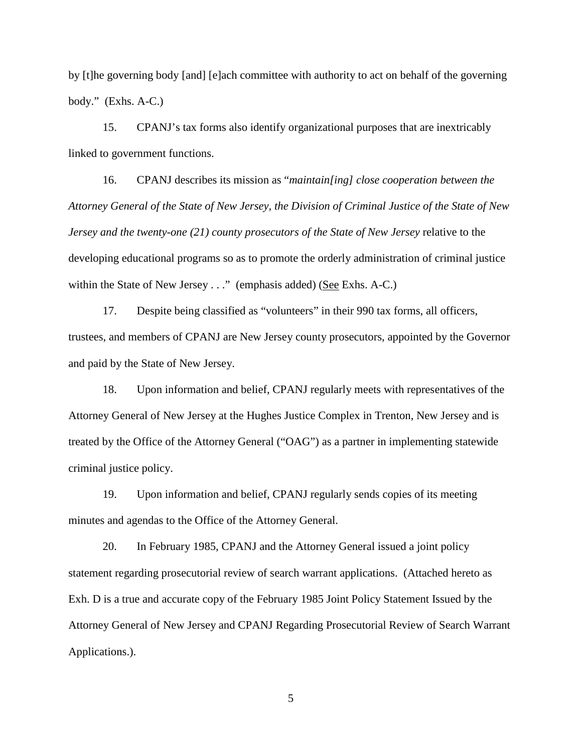by [t]he governing body [and] [e]ach committee with authority to act on behalf of the governing body." (Exhs. A-C.)

15. CPANJ's tax forms also identify organizational purposes that are inextricably linked to government functions.

16. CPANJ describes its mission as "*maintain[ing] close cooperation between the Attorney General of the State of New Jersey, the Division of Criminal Justice of the State of New Jersey and the twenty-one (21) county prosecutors of the State of New Jersey* relative to the developing educational programs so as to promote the orderly administration of criminal justice within the State of New Jersey . . ." (emphasis added) (See Exhs. A-C.)

17. Despite being classified as "volunteers" in their 990 tax forms, all officers, trustees, and members of CPANJ are New Jersey county prosecutors, appointed by the Governor and paid by the State of New Jersey.

18. Upon information and belief, CPANJ regularly meets with representatives of the Attorney General of New Jersey at the Hughes Justice Complex in Trenton, New Jersey and is treated by the Office of the Attorney General ("OAG") as a partner in implementing statewide criminal justice policy.

19. Upon information and belief, CPANJ regularly sends copies of its meeting minutes and agendas to the Office of the Attorney General.

20. In February 1985, CPANJ and the Attorney General issued a joint policy statement regarding prosecutorial review of search warrant applications. (Attached hereto as Exh. D is a true and accurate copy of the February 1985 Joint Policy Statement Issued by the Attorney General of New Jersey and CPANJ Regarding Prosecutorial Review of Search Warrant Applications.).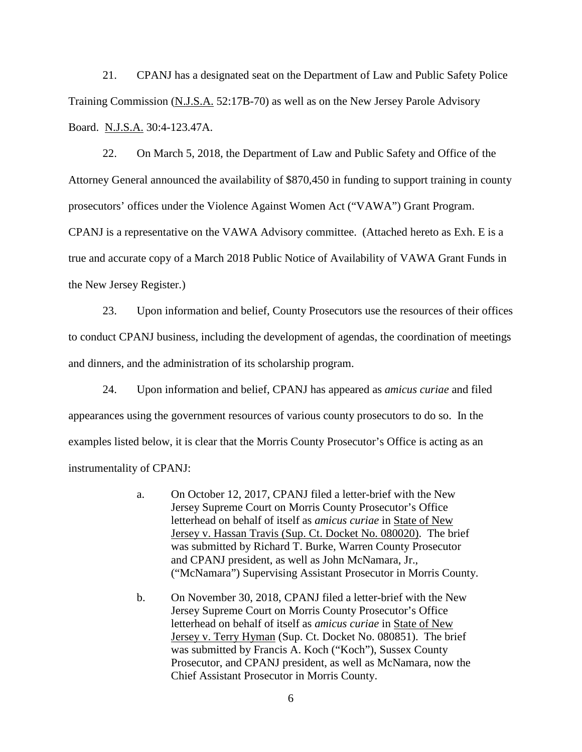21. CPANJ has a designated seat on the Department of Law and Public Safety Police Training Commission (N.J.S.A. 52:17B-70) as well as on the New Jersey Parole Advisory Board. N.J.S.A. 30:4-123.47A.

22. On March 5, 2018, the Department of Law and Public Safety and Office of the Attorney General announced the availability of \$870,450 in funding to support training in county prosecutors' offices under the Violence Against Women Act ("VAWA") Grant Program. CPANJ is a representative on the VAWA Advisory committee. (Attached hereto as Exh. E is a true and accurate copy of a March 2018 Public Notice of Availability of VAWA Grant Funds in the New Jersey Register.)

23. Upon information and belief, County Prosecutors use the resources of their offices to conduct CPANJ business, including the development of agendas, the coordination of meetings and dinners, and the administration of its scholarship program.

24. Upon information and belief, CPANJ has appeared as *amicus curiae* and filed appearances using the government resources of various county prosecutors to do so. In the examples listed below, it is clear that the Morris County Prosecutor's Office is acting as an instrumentality of CPANJ:

- a. On October 12, 2017, CPANJ filed a letter-brief with the New Jersey Supreme Court on Morris County Prosecutor's Office letterhead on behalf of itself as *amicus curiae* in State of New Jersey v. Hassan Travis (Sup. Ct. Docket No. 080020). The brief was submitted by Richard T. Burke, Warren County Prosecutor and CPANJ president, as well as John McNamara, Jr., ("McNamara") Supervising Assistant Prosecutor in Morris County.
- b. On November 30, 2018, CPANJ filed a letter-brief with the New Jersey Supreme Court on Morris County Prosecutor's Office letterhead on behalf of itself as *amicus curiae* in State of New Jersey v. Terry Hyman (Sup. Ct. Docket No. 080851). The brief was submitted by Francis A. Koch ("Koch"), Sussex County Prosecutor, and CPANJ president, as well as McNamara, now the Chief Assistant Prosecutor in Morris County.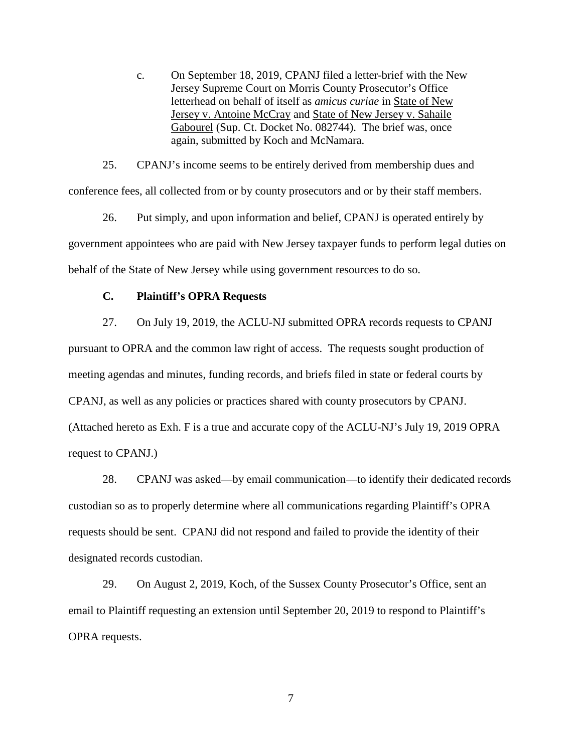c. On September 18, 2019, CPANJ filed a letter-brief with the New Jersey Supreme Court on Morris County Prosecutor's Office letterhead on behalf of itself as *amicus curiae* in State of New Jersey v. Antoine McCray and State of New Jersey v. Sahaile Gabourel (Sup. Ct. Docket No. 082744). The brief was, once again, submitted by Koch and McNamara.

25. CPANJ's income seems to be entirely derived from membership dues and conference fees, all collected from or by county prosecutors and or by their staff members.

26. Put simply, and upon information and belief, CPANJ is operated entirely by government appointees who are paid with New Jersey taxpayer funds to perform legal duties on behalf of the State of New Jersey while using government resources to do so.

#### **C. Plaintiff's OPRA Requests**

27. On July 19, 2019, the ACLU-NJ submitted OPRA records requests to CPANJ pursuant to OPRA and the common law right of access. The requests sought production of meeting agendas and minutes, funding records, and briefs filed in state or federal courts by CPANJ, as well as any policies or practices shared with county prosecutors by CPANJ. (Attached hereto as Exh. F is a true and accurate copy of the ACLU-NJ's July 19, 2019 OPRA request to CPANJ.)

28. CPANJ was asked—by email communication—to identify their dedicated records custodian so as to properly determine where all communications regarding Plaintiff's OPRA requests should be sent. CPANJ did not respond and failed to provide the identity of their designated records custodian.

29. On August 2, 2019, Koch, of the Sussex County Prosecutor's Office, sent an email to Plaintiff requesting an extension until September 20, 2019 to respond to Plaintiff's OPRA requests.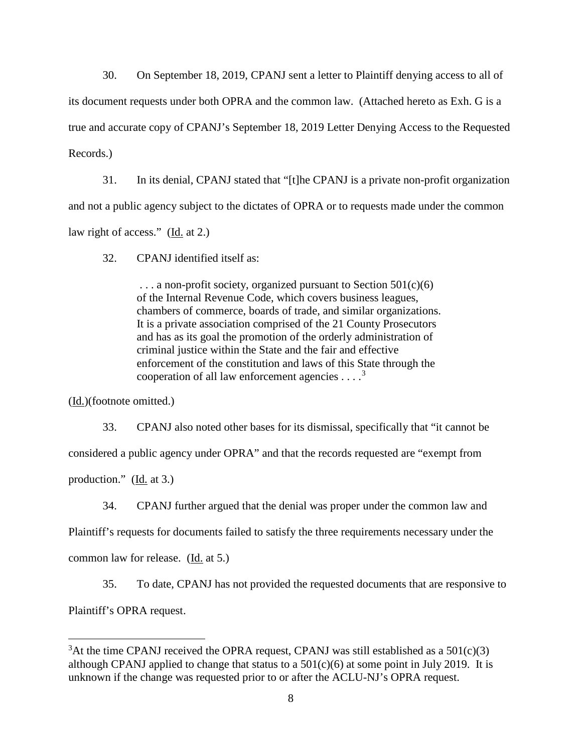30. On September 18, 2019, CPANJ sent a letter to Plaintiff denying access to all of its document requests under both OPRA and the common law. (Attached hereto as Exh. G is a true and accurate copy of CPANJ's September 18, 2019 Letter Denying Access to the Requested Records.)

31. In its denial, CPANJ stated that "[t]he CPANJ is a private non-profit organization and not a public agency subject to the dictates of OPRA or to requests made under the common law right of access." (Id. at 2.)

32. CPANJ identified itself as:

 $\ldots$  a non-profit society, organized pursuant to Section 501(c)(6) of the Internal Revenue Code, which covers business leagues, chambers of commerce, boards of trade, and similar organizations. It is a private association comprised of the 21 County Prosecutors and has as its goal the promotion of the orderly administration of criminal justice within the State and the fair and effective enforcement of the constitution and laws of this State through the cooperation of all law enforcement agencies  $\dots$ <sup>[3](#page-7-0)</sup>

(Id.)(footnote omitted.)

33. CPANJ also noted other bases for its dismissal, specifically that "it cannot be considered a public agency under OPRA" and that the records requested are "exempt from production." ( $\underline{Id}$  at 3.)

34. CPANJ further argued that the denial was proper under the common law and

Plaintiff's requests for documents failed to satisfy the three requirements necessary under the

common law for release. (Id. at 5.)

35. To date, CPANJ has not provided the requested documents that are responsive to Plaintiff's OPRA request.

<span id="page-7-0"></span> $\frac{1}{3}$  $3$ At the time CPANJ received the OPRA request, CPANJ was still established as a 501(c)(3) although CPANJ applied to change that status to a  $501(c)(6)$  at some point in July 2019. It is unknown if the change was requested prior to or after the ACLU-NJ's OPRA request.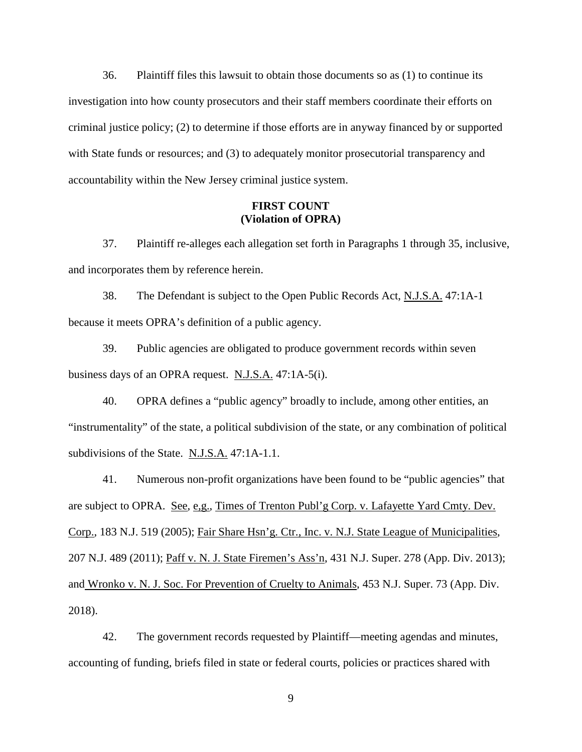36. Plaintiff files this lawsuit to obtain those documents so as (1) to continue its investigation into how county prosecutors and their staff members coordinate their efforts on criminal justice policy; (2) to determine if those efforts are in anyway financed by or supported with State funds or resources; and (3) to adequately monitor prosecutorial transparency and accountability within the New Jersey criminal justice system.

# **FIRST COUNT (Violation of OPRA)**

37. Plaintiff re-alleges each allegation set forth in Paragraphs 1 through 35, inclusive, and incorporates them by reference herein.

38. The Defendant is subject to the Open Public Records Act, N.J.S.A. 47:1A-1 because it meets OPRA's definition of a public agency.

39. Public agencies are obligated to produce government records within seven business days of an OPRA request. N.J.S.A. 47:1A-5(i).

40. OPRA defines a "public agency" broadly to include, among other entities, an "instrumentality" of the state, a political subdivision of the state, or any combination of political subdivisions of the State. N.J.S.A. 47:1A-1.1.

41. Numerous non-profit organizations have been found to be "public agencies" that are subject to OPRA. See, e,g., Times of Trenton Publ'g Corp. v. Lafayette Yard Cmty. Dev. Corp., 183 N.J. 519 (2005); Fair Share Hsn'g. Ctr., Inc. v. N.J. State League of Municipalities, 207 N.J. 489 (2011); Paff v. N. J. State Firemen's Ass'n, 431 N.J. Super. 278 (App. Div. 2013); and Wronko v. N. J. Soc. For Prevention of Cruelty to Animals, 453 N.J. Super. 73 (App. Div. 2018).

42. The government records requested by Plaintiff—meeting agendas and minutes, accounting of funding, briefs filed in state or federal courts, policies or practices shared with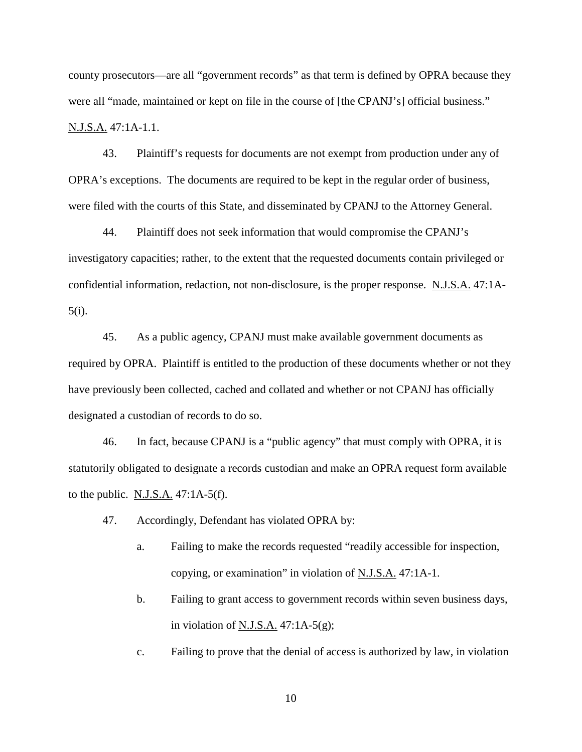county prosecutors—are all "government records" as that term is defined by OPRA because they were all "made, maintained or kept on file in the course of [the CPANJ's] official business." N.J.S.A. 47:1A-1.1.

43. Plaintiff's requests for documents are not exempt from production under any of OPRA's exceptions. The documents are required to be kept in the regular order of business, were filed with the courts of this State, and disseminated by CPANJ to the Attorney General.

44. Plaintiff does not seek information that would compromise the CPANJ's investigatory capacities; rather, to the extent that the requested documents contain privileged or confidential information, redaction, not non-disclosure, is the proper response. N.J.S.A. 47:1A-5(i).

45. As a public agency, CPANJ must make available government documents as required by OPRA. Plaintiff is entitled to the production of these documents whether or not they have previously been collected, cached and collated and whether or not CPANJ has officially designated a custodian of records to do so.

46. In fact, because CPANJ is a "public agency" that must comply with OPRA, it is statutorily obligated to designate a records custodian and make an OPRA request form available to the public. N.J.S.A.  $47:1A-5(f)$ .

- 47. Accordingly, Defendant has violated OPRA by:
	- a. Failing to make the records requested "readily accessible for inspection, copying, or examination" in violation of N.J.S.A. 47:1A-1.
	- b. Failing to grant access to government records within seven business days, in violation of N.J.S.A.  $47:1A-5(g)$ ;
	- c. Failing to prove that the denial of access is authorized by law, in violation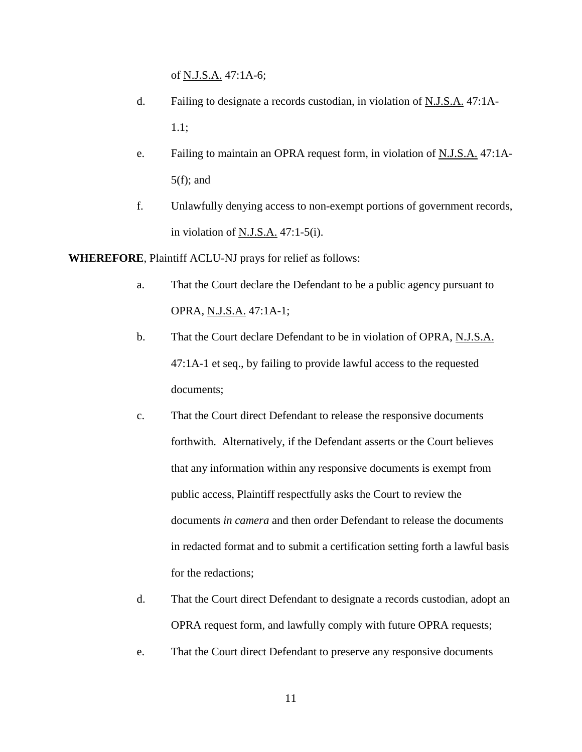of N.J.S.A. 47:1A-6;

- d. Failing to designate a records custodian, in violation of N.J.S.A. 47:1A-1.1;
- e. Failing to maintain an OPRA request form, in violation of N.J.S.A. 47:1A- $5(f)$ ; and
- f. Unlawfully denying access to non-exempt portions of government records, in violation of N.J.S.A. 47:1-5(i).

**WHEREFORE**, Plaintiff ACLU-NJ prays for relief as follows:

- a. That the Court declare the Defendant to be a public agency pursuant to OPRA, N.J.S.A. 47:1A-1;
- b. That the Court declare Defendant to be in violation of OPRA, N.J.S.A. 47:1A-1 et seq., by failing to provide lawful access to the requested documents;
- c. That the Court direct Defendant to release the responsive documents forthwith. Alternatively, if the Defendant asserts or the Court believes that any information within any responsive documents is exempt from public access, Plaintiff respectfully asks the Court to review the documents *in camera* and then order Defendant to release the documents in redacted format and to submit a certification setting forth a lawful basis for the redactions;
- d. That the Court direct Defendant to designate a records custodian, adopt an OPRA request form, and lawfully comply with future OPRA requests;
- e. That the Court direct Defendant to preserve any responsive documents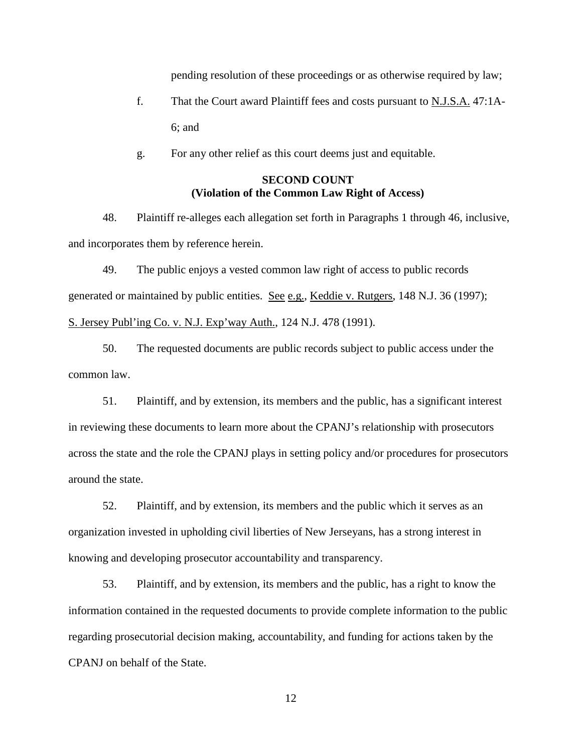pending resolution of these proceedings or as otherwise required by law;

- f. That the Court award Plaintiff fees and costs pursuant to N.J.S.A. 47:1A-6; and
- g. For any other relief as this court deems just and equitable.

# **SECOND COUNT (Violation of the Common Law Right of Access)**

48. Plaintiff re-alleges each allegation set forth in Paragraphs 1 through 46, inclusive, and incorporates them by reference herein.

49. The public enjoys a vested common law right of access to public records generated or maintained by public entities. See e.g., Keddie v. Rutgers, 148 N.J. 36 (1997); S. Jersey Publ'ing Co. v. N.J. Exp'way Auth., 124 N.J. 478 (1991).

50. The requested documents are public records subject to public access under the common law.

51. Plaintiff, and by extension, its members and the public, has a significant interest in reviewing these documents to learn more about the CPANJ's relationship with prosecutors across the state and the role the CPANJ plays in setting policy and/or procedures for prosecutors around the state.

52. Plaintiff, and by extension, its members and the public which it serves as an organization invested in upholding civil liberties of New Jerseyans, has a strong interest in knowing and developing prosecutor accountability and transparency.

53. Plaintiff, and by extension, its members and the public, has a right to know the information contained in the requested documents to provide complete information to the public regarding prosecutorial decision making, accountability, and funding for actions taken by the CPANJ on behalf of the State.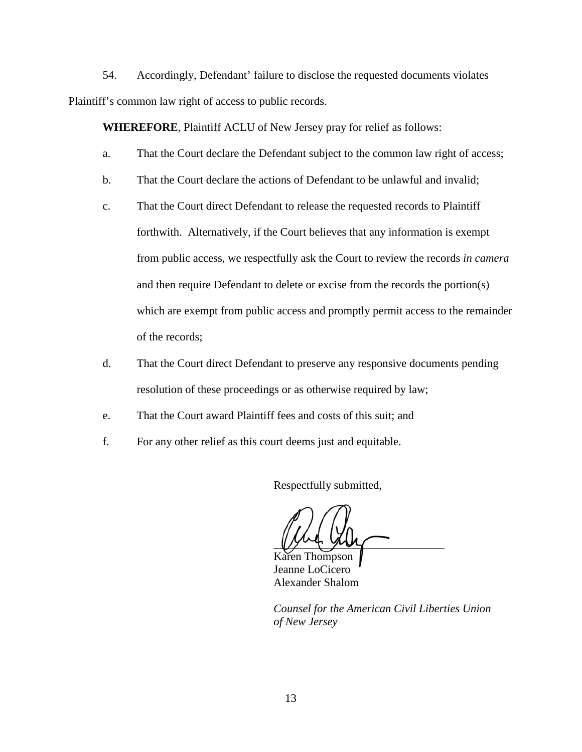54. Accordingly, Defendant' failure to disclose the requested documents violates Plaintiff's common law right of access to public records.

**WHEREFORE**, Plaintiff ACLU of New Jersey pray for relief as follows:

- a. That the Court declare the Defendant subject to the common law right of access;
- b. That the Court declare the actions of Defendant to be unlawful and invalid;
- c. That the Court direct Defendant to release the requested records to Plaintiff forthwith. Alternatively, if the Court believes that any information is exempt from public access, we respectfully ask the Court to review the records *in camera* and then require Defendant to delete or excise from the records the portion(s) which are exempt from public access and promptly permit access to the remainder of the records;
- d. That the Court direct Defendant to preserve any responsive documents pending resolution of these proceedings or as otherwise required by law;
- e. That the Court award Plaintiff fees and costs of this suit; and
- f. For any other relief as this court deems just and equitable.

Respectfully submitted,

Karen Thompson Jeanne LoCicero Alexander Shalom

*Counsel for the American Civil Liberties Union of New Jersey*